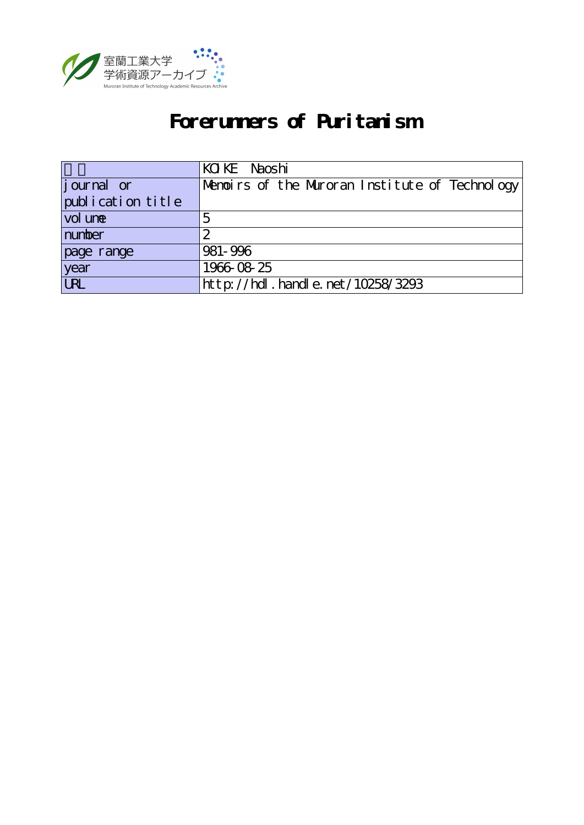

# **Forerunners of Puritanism**

|                    | KOKE Naoshi                                    |
|--------------------|------------------------------------------------|
| <i>j</i> ournal or | Menoirs of the Muroran Institute of Technology |
| publication title  |                                                |
| vol une            |                                                |
| number             |                                                |
| page range         | 981-996                                        |
| year<br>URL        | 1966-08-25                                     |
|                    | http://hdl.handle.net/10258/3293               |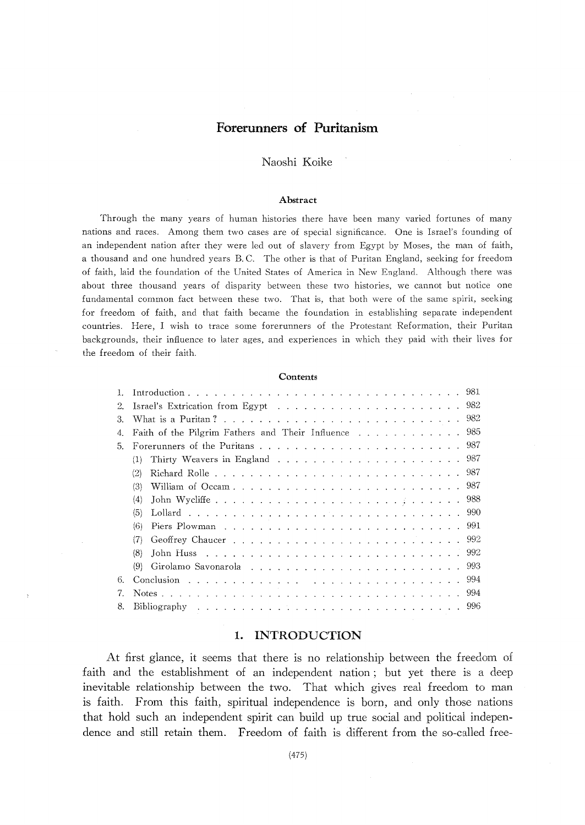# Forerunners of Puritanism

## Naoshi Koike

#### Abstract

Through the many years of human histories there have been many varied fortunes of many nations and races. Among them two cases are of special significance. One is Israel's founding of an independent nation after they were led out of slavery from Egypt by Moses, the man of faith, a thousand and one hundred years B.C. The other is that of Puritan England, seeking for freedom of faith, laid the foundation of the United States of America in New England. Although there was about three thousand years of disparity between these two histories, we cannot but notice one fundamental common fact between these two. That is, that both were of the same spirit, seeking for freedom of faith, and that faith became the foundation in establishing separate independent countries. Here, I wish to trace some forerunners of the Protestant Reformation, their Puritan backgrounds, their influence to later ages, and experiences in which they paid with their lives for the freedom of their faith

#### Contents

| 2. |                                                       |
|----|-------------------------------------------------------|
| 3. |                                                       |
| 4. | Faith of the Pilgrim Fathers and Their Influence  985 |
| 5. |                                                       |
|    | (1)                                                   |
|    | (2)                                                   |
|    | (3)                                                   |
|    | (4)                                                   |
|    | (5)                                                   |
|    | (6)                                                   |
|    |                                                       |
|    | (8)                                                   |
|    | (9)                                                   |
| 6. |                                                       |
|    |                                                       |
| 8. |                                                       |

#### 1. INTRODUCTION

At first glance, it seems that there is no relationship between the freedom of faith and the establishment of an independent nation; but yet there is a deep inevitable relationship between the two. That which gives real freedom to man is faith. From this faith, spiritual independence is born, and only those nations that hold such an independent spirit can build up true social and political independence and still retain them. Freedom of faith is different from the so-called free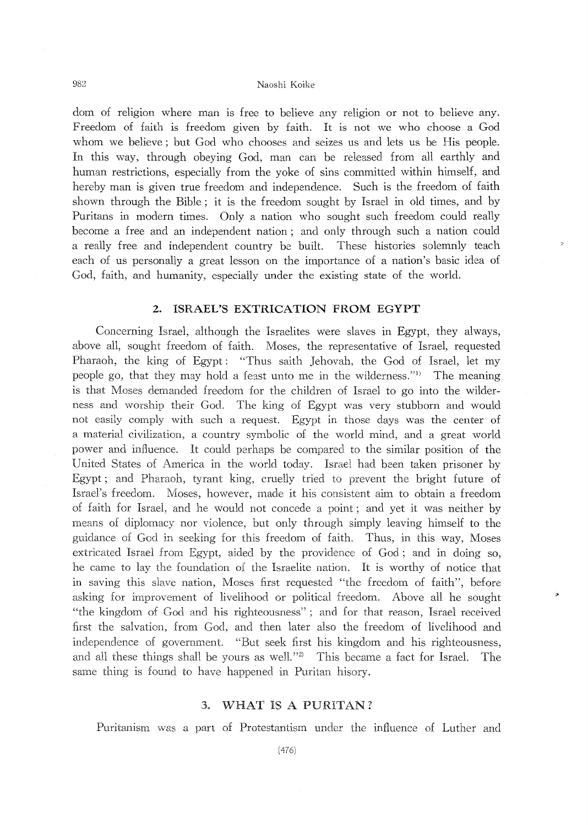dom of religion where man is free to believe any religion or not to believe any. Freedom of faith is freedom given by faith. It is not we who choose a God whom we believe; but God who chooses and seizes us and lets us be His people. In this way, through obeying God, man can be released from all earthly and human restrictions, especially from the yoke of sins committed within himself, and hereby man is given true freedom and independence. Such is the freedom of faith shown through the Bible; it is the freedom sought by 1srael in old times, and by Puritans in modern times. Only a nation who sought such freedom could really become a free and an independent nation; and only through such a nation could a really free and independent country be built. These histories solemnly teach each of us personally a great lesson on the importance of a nation's basic idea of God, faith, and humanity, especially under the existing state of the world.

## 2. ISRAEL'S EXTRICATION FROM EGYPT

Concerning Israel, although the Israelites were slaves in Egypt, they always, above all, sought freedom of faith. Moses, the representative of Israel, requested Pharaoh, the king of Egypt: "Thus saith Jehovah, the God of Israel, let my people go, that they may hold a feast unto me in the wilderness."l) The meaning is that Moses demanded freedom for the children of 1srael to go into the wilderness and worship their God. The king of Egypt was very stubborn and would not easily comply with such a request. Egypt in those days was the center of a material civilization, a country symbolic of the world mind, and a great world power and influence. It could perhaps be compared to the similar position of the United States of America in the world today. Israel had been taken prisoner by Egypt; and Pharaoh, tyrant king, cruelly tried to prevent the bright future of 1srael's freedom. Moses, however, made it his consistent aim to obtain a freedom of faith for Israel, and he would not concede a point; and yet it was neither by means of diplomacy nor violence, but only through simply leaving himself to the guidance of God in seeking for this freedom of faith. Thus, in this way Moses extricated 1srael from Egypt, aided by the providence of God; and in doing so, he came to lay the foundation of the Israelite nation. It is worthy of notice that in saving this slave nation, Moses first requested "the freedom of faith", before asking for improvement of livelihood or political freedom. Above all he sought "the kingdom of God and his righteousness"; and for that reason, Israel received first the salvation, from God, and then later also the freedom of livelihood and independence of government. "But seek first his kingdom and his righteousness, and all these things shall be yours as well.<sup>"2)</sup> This became a fact for Israel. The same thing is found to have happened in Puritan hisory.

#### 3. WHAT IS A PURITAN?

Puritanism was a part of Protestantism under the influence of Luther and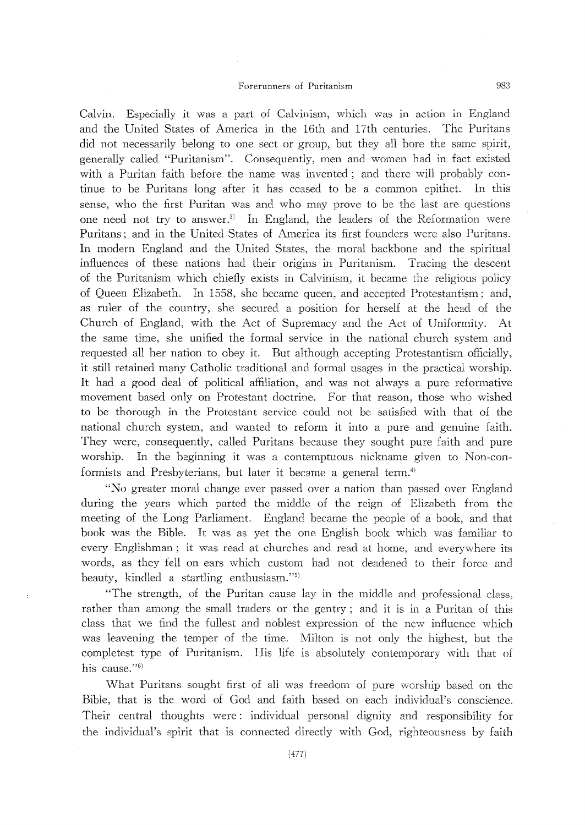Calvin. Especially it was a part of Calvinism, which was in action in England and the United States of America in the 16th and 17th centuries. The Puritans did not necessarily belong to one sect or group, but they all bore the same spirit, generally called "Puritanism". Consequently, men and women had in fact existed with a Puritan faith before the name was invented; and there will probably continue to be Puritans long after it has ceased to be a common epithet. In this sense, who the first Puritan was and who may prove to be the last are questions one need not try to answer.<sup>3)</sup> In England, the leaders of the Reformation were Puritans; and in the United States of America its first founders were also Puritans. In modern England and the United States, the moral backbone and the spiritual influences of these nations had their origins in Puritanism. Tracing the descent of the Puritanism which chiefly exists in Calvinism, it became the religious policy of Queen Elizabeth. In 1558, she became queen, and accepted Protestantism; and, as ruler of the country, she secured a position for herself at the head of the Church of England, with the Act of Supremacy and the Act of Uniformity. At the same time, she unified the formal service in the national church system and requested all her nation to obey it. But although accepting Protestantism officially, it still retained many Catholic traditional and formal usages in the practical worship. It had a good deal of political affiliation, and was not always a pure reformative movement based only on Protestant doctrine. For that reason, those who wished to be thorough in the Protestant service could not be satisfied with that of the national church system, and wanted to reform it into a pure and genuine faith. They were, consequently, called Puritans because they sought pure faith and pure worship. In the beginning it was a contemptuous nickname given to Non-conformists and Presbyterians, but later it became a general term.<sup>4)</sup>

"No greater moral change ever passed over a nation than passed over England during the years which parted the middle of the reign of Elizabeth from the meeting of the Long Parliament. England became the people of a book, and that book was the Bible. It was as yet the one English book which was familiar to every Englishman; it was read at churches and read at home, and everywhere its words, as they fell on ears which custom had not deadened to their force and beauty, kindled a startling enthusiasm."5)

"The strength, of the Puritan cause lay in the middle and professional class, rather than among the small traders or the gentry; and it is in a Puritan of this class that we find the fullest and noblest expression of the new influence which was leavening the temper of the time. Milton is not only the highest, but the completest type of Puritanism. His life is absolutely contemporary with that of his cause."6)

What Puritans sought first of all was freedom of pure worship based on the Bible, that is the word of God and faith based on each individual's conscience. Their central thoughts were: individual personal dignity and responsibility for the individual's spirit that is connected directly with God, righteousness by faith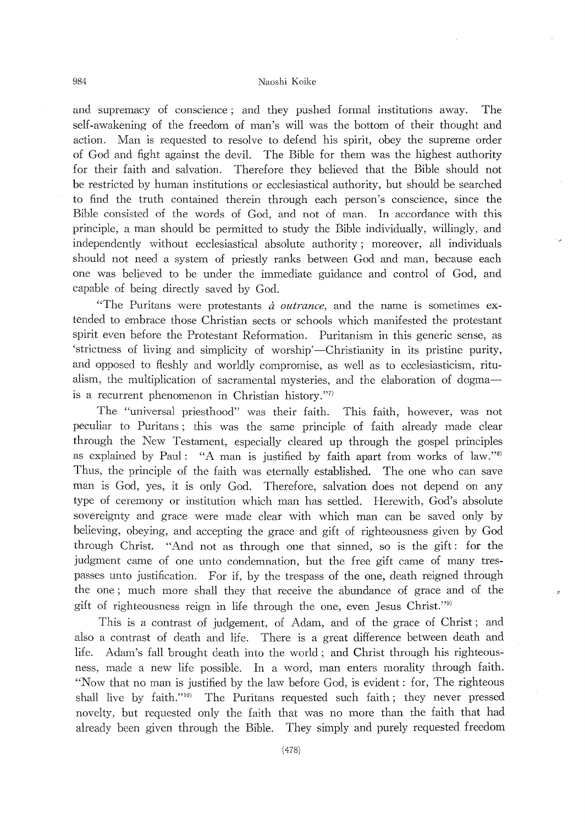#### 984 Naoshi Koike

and supremacy of conscience; and they pushed formal institutions away. The self-awakening of the freedom of man's will was the bottom of their thought and action. Man is requested to resolve to defend his spirit, obey the supreme order of God and fight against the devil. The Bible for them was the highest authority for their faith and salvation. Therefore they believed that the Bible should not be restricted by human institutions or ecclesiastical authority, but should be searched to find the truth contained therein through each person's conscience, since the Bible consisted of the words of God, and not of man. In accordance with this principle, a man should be permitted to study the Bible inclividually, willingly, and independently without ecclesiastical absolute authority; moreover, all individuals should not need a system of priestly ranks between God and man, because each one was believed to be under the immediate guidance and control of God, and capable of being directly saved by God.

"The Puritans were protestants  $\dot{a}$  outrance, and the name is sometimes extended to embrace those Christian sects or schools which manifested the protestant spirit even before the Protestant Reformation. Puritanism in this generic sense, as 'strictness of living ancl simplicity of worship'-Christianity in its pristine purity, and opposed to fleshly and worldly compromise, as well as to ecclesiasticism, ritu alism, the multiplication of sacramental mysteries, and the elaboration of dogmais a recurrent phenomenon in Christian history."7)

The "universal priesthood" was their faith. This faith, however, was not peculiar to Puritans; this was the same principle of faith already made clear through the New Testament, especially clearecl up through the gospel principles as explained by Paul: "A man is justified by faith apart from works of  $law."$ " Thus, the principle of the faith was eternally established. The one who can save man is God, yes, it is only God. Therefore, salvation does not depend on any type of ceremony or institution which man has settled. Herewith, God's absolute sovereignty and grace were made clear with which man can be saved only by believing, obeying, and accepting the grace and gift of righteousness given by God through Christ. "And not as through one that sinnecl, so is the gift: for the judgment came of one unto condemnation, but the free gift came of many trespasses unto justification. For if, by the trespass of the one, death reigned through the one; much more shall they that receive the abundance of grace and of the gift of righteousness reign in life through the one, even Jesus Christ."9)

This is a contrast of judgement, of Adam, and of the grace of Christ; and also a contrast of death and life. There is a great difference between death and life. Adam's fall brought death into the world; and Christ through his righteous ness, made a new life possible. In a word, man enters morality through faith. "Now that no man is justified by the law before God, is evident: for, The righteous shall live by faith."<sup>10)</sup> The Puritans requested such faith; they never pressed novelty, but requested only the faith that was no more than the faith that had already been given through the Bible. They simply and purely requested freedom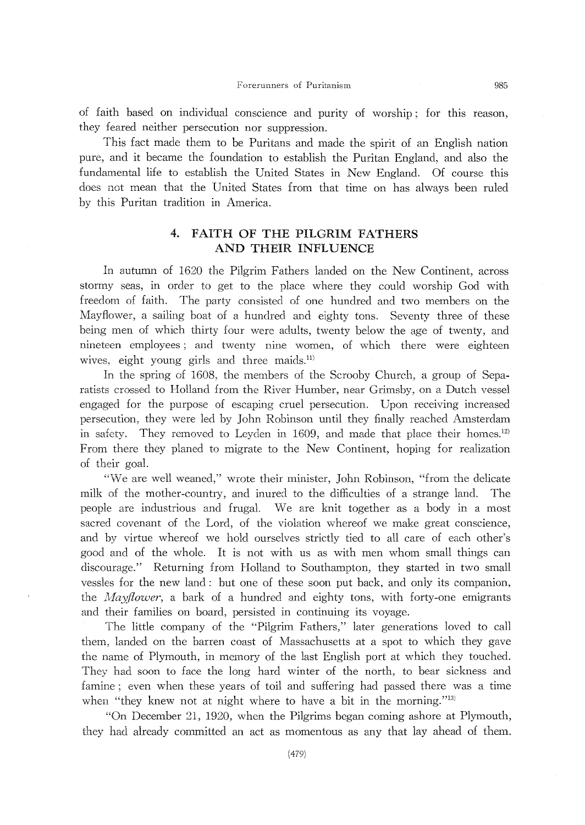of faith based on individual conscience and purity of worship; for this reason, they feared neither persecution nor suppression.

This fact made them to be Puritans and made the spirit of an English nation pure, and it became the foundation to establish the Puritan England, and also the fundamental life to establish the United States in New England. Of course this does not mean that the United States from that time on has a1ways been ruled by this Puritan tradition in America.

# 4. FAITH OF THE PILGRIM FATHERS AND THEIR INFLUENCE

In autumn of 1620 the Pilgrim Fathers landed on the New Continent, across stormy seas, in order to get to the place where they could worship God with freedom of faith. The party consisted of one hundred and two members on the Mayflower, a sailing boat of a hundred and eighty tons. Seventy three of these being men of which thirty four were adults, twenty below the age of twenty, and nineteen employees; and twenty nine women, of which there were eighteen wives, eight young girls and three maids.<sup>11)</sup>

In the spring of 1608, the members of the Scrooby Church, a group of Separatists crossed to Holland from the River Humber, near Grimsby, on a Dutch vessel engaged for the purpose of escaping cruel persecution. Upon receiving increased persecution, they were led by John Robinson until they finally reached Amsterdam in safety. They removed to Leyden in 1609, and made that place their homes.<sup>12)</sup> From there they planed to migrate to the New Continent, hoping for realization of their goal.

"We are well weaned," wrote their minister, John Robinson, "from the delicate milk of the mother-country, and inured to the difficulties of a strange land. The people are industrious and frugal. We are knit together as a body in a most sacred covenant of the Lord, of the violation whereof we make great conscience, and by virtue whereof we hold ourselves strictly tied to all care of each other's good and of the whole. It is not with us as with men whom small things can discourage." Returning from Holland to Southampton, they started in two small vessles for the new land: but one of these soon put back, and only its companion, the *Mayflower*, a bark of a hundred and eighty tons, with forty-one emigrants and their families on board, persisted in continuing its voyage.

The little company of the "Pilgrim Fathers," 1ater generations loved to call them, landed on the barren coast of Massachusetts at a spot to which they gave the name of Plymouth, in memory of the 1ast Eng1ish port at which they touched. They had soon to face the long hard winter of the north, to bear sickness and famine; even when these years of toil and suffering had passed there was a time when "they knew not at night where to have a bit in the morning."<sup>13)</sup>

"On December 21, 1920, when the Pi1grims began coming ashore at Plymouth, they had a1ready committed an act as momentous as any that lay ahead of them.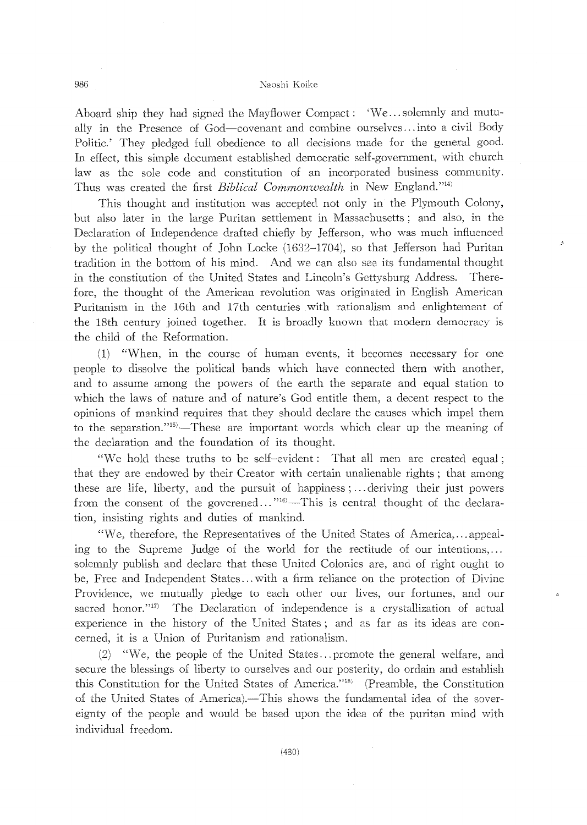#### 986 Naoshi Koike

Aboard ship they had signed the Mayflower Compact: 'We...solemnly and mutua11y in the Presence of God-covenant and combine ourselves... into a civil Body Politic.' They pledged full obedience to all decisions made for the general good. In effect, this simple document established democratic self-government, with church law as the sole code and constitution of an incorporated business community. Thus was created the first *Biblical Commonwealth* in New England."<sup>14)</sup>

This thought and institution was accepted not on1y in the Plymouth Colony, but also later in the large Puritan settlement in Massachusetts; and also, in the Declaration of 1ndependence drafted chiefly by Jefferson, who was much influenced by the political thought of John Locke (1632-1704), so that Jefferson had Puritan tradition in the bottom of his mind. And we can also see its fundamental thought in the constitution of the United States and Lincoln's Gettysburg Address. Therefore, the thought of the American revolution was originated in English American Puritanism in the 16th and 17th centuries with rationalism and enlightement of the 18th century joined together. 1t is broadly known that modern democracy is the child of the Reformation.

 $(1)$  "When, in the course of human events, it becomes necessary for one people to dissolve the political bands which have connected them with another and to assume among the powers of the earth the separate and equal station to which the laws of nature and of nature's God entitle them, a decent respect to the opinions of mankind requires that they should declare the causes which impel them to the separation.<sup>115</sup>—These are important words which clear up the meaning of the declaration and the foundation of its thought.

"We hold these truths to be self-εvident: That all men are created equal; that they are enclowed by their Creator with certain unalienable rights; that among these are life, liberty, and the pursuit of happiness;... deriving their just powers from the consent of the goverened..."<sup>16</sup>)—This is central thought of the declaration, insisting rights and duties of mankind.

"We, therefore, the Representatives of the United States of America,...appealing to the Supreme Judge of the world for the rectitude of our intentions, solemnly publish and declare that these United Colonies are, and of right ought to be, Free and Independent States... with a firm reliance on the protection of Divine Providence, we mutually pledge to each other our lives, our fortunes, and our sacred honor."<sup>17</sup>) The Declaration of independence is a crystallization of actual experience in the history of the United States; and as far as its ideas are concerned, 1t is a Union of Puritanism and rationalism.

 $(2)$  "We, the people of the United States... promote the general welfare, and secure the blessings of liberty to ourselves and our posterity doordain and establish this Constitution for the United States of America."<sup>18)</sup> (Preamble, the Constitution of the United States of America).—This shows the fundamental idea of the sovereignty of the people and would be based upon the idea of the puritan mind with individual freedom.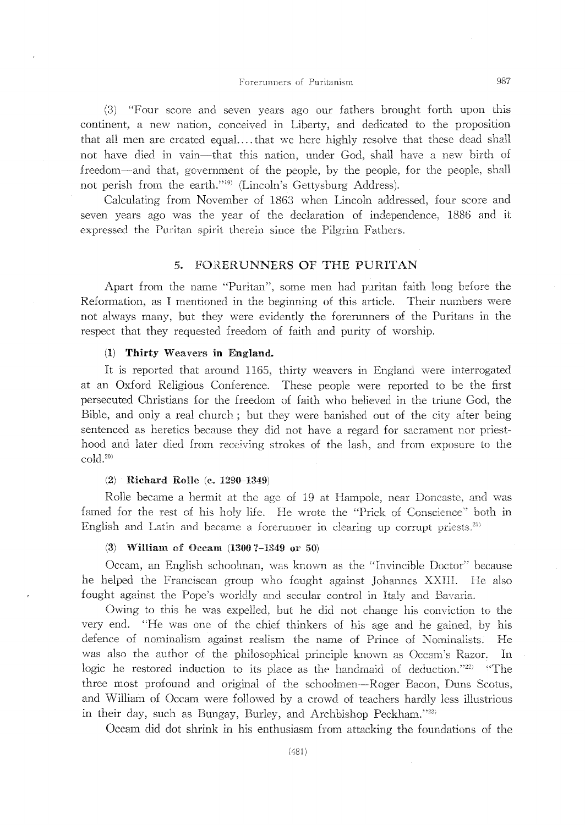(3) "Four score and seven years ago our fathers brought forth upon this continent, a new nation, conceived in Liberty, and dedicated to the proposition that all men are created equal....that we here highly resolve that these dead shall not have died in vain—that this nation, under God, shall have a new birth of freedom—and that, government of the people, by the people, for the people, shall not perish from the earth."<sup>19)</sup> (Lincoln's Gettysburg Address).

Calculating from November of 1863 when Lincoln addressed, four score and seven years ago was the year of the declaration of independence, 1886 and it expressed the Puritan spirit therein since the Pilgrim Fathers.

#### FORERUNNERS OF THE PURITAN 5.

Apart from the name "Puritan", some men had puritan faith long before the Reformation, as I mentioned in the beginning of this article. Their numbers were not always many, but they were evidently the forerunners of the Puritans in the respect that they requested freedom of faith and purity of worship.

#### (1) Thirty Weavers in England.

It is reported that around 1165, thirty weavers in England were interrogated at an Oxford Religious Conference. These people were reported to be the first persecuted Christians for the freedom of faith who believed in the triune God, the Bible, and only a real church; but they were banished out of the city after being sentenced as heretics because they did not have a regard for sacrament nor priesthood and later died from receiving strokes of the lash, and from exposure to the  $\text{cold}.^{20}$ 

#### (2) Richard Rolle (c. 1290-1349)

Rolle became a hermit at the age of 19 at Hampole, near Doncaste, and was famed for the rest of his holy life. He wrote the "Prick of Conscience" both in English and Latin and became a forerunner in clearing up corrupt priests.<sup>21)</sup>

#### (3) William of Oceam  $(1300 ? - 1349$  or 50)

Occam, an English schoolman, was known as the "Invincible Doctor" because he helped the Franciscan group who fought against Johannes XXIII. He also fought against the Pope's worldly and secular control in Italy and Bavaria.

Owing to this he was expelled, but he did not change his conviction to the very end. "He was one of the chief thinkers of his age and he gained, by his defence of nominalism against realism the name of Prince of Nominalists. He was also the author of the philosophical principle known as Oceam's Razor. In logic he restored induction to its place as the handmaid of deduction."22) "The three most profound and original of the schoolmen-Roger Bacon, Duns Scotus, and William of Occam were followed by a crowd of teachers hardly less illustrious in their day, such as Bungay, Burley, and Archbishop Peckham."22)

Occam did dot shrink in his enthusiasm from attacking the foundations of the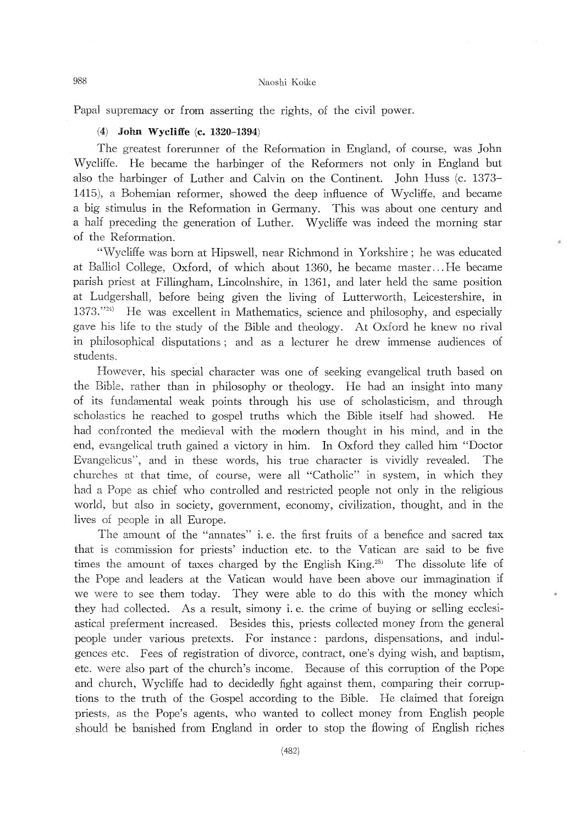Papal supremacy or from asserting the rights, of the civil power.

#### (4) John Wycliffe (c. 1320–1394)

The greatest forerunner of the Reformation in England, of course, was John Wycliffe. He became the harbinger of the Reformers not only in England but also the harbinger of Luther and Calvin on the Continent. John Huss (c. 1373- 1415), a Bohemian reformer, showed the deep influence of Wycliffe, and became a big stimulus in the Reformation in Germany. This was about one century and a half preceding the generation of Luther. Wycliffe was indeed the morning star of the Reformation.

"Wycliffe was born at Hipswell, near Richmond in Yorkshire; he was educated at Balliol College, Oxford, of which about 1360, he became master... He became parish priest at Fillingham, Lincolnshire, in 1361, and later held the same position at Ludgershall, before being given the living of Lutterworth, Leicestershire, in 1373."<sup>24)</sup> He was excellent in Mathematics, science and philosophy, and especially gave his life to the study of the Bible and theology. At Oxford he knew no rival in philosophical disputations; and as a lecturer he drew immense audiences of students.

However, his special character was one of seeking evangelical truth based on the Bible, rather than in philosophy or theology. He had an insight into many of its fundamental weak points through his use of scholasticism, and through scholastics he reached to gospel truths which the Bible itself had showed. He had confronted the medieval with the modem thought in his mind, and in the end, eVemgelical truth gained a victory in him. In Oxford they called him "Doctor Evangelicus", and in these words, his true character is vividly revealed. The churches at that time, of course, were all "Catholic" in system, in which they had a Pope as chief who controlled and restricted people not only in the religious world, but also in society, government, economy, civilization, thought, and in the lives of people in all Europe.

The amount of the "annates" i.e. the first fruits of a benefice and sacred tax that is commission for priests' induction etc. to the Vatican are said to be five times the amount of taxes charged by the English King.<sup>25</sup> The dissolute life of the Pope and leaders at the Vatican would have been above our immagination if we were to see them today. They were able to do this with the money which they had collected. As a result, simony i. e. the crime of buying or selling ecclesiastical preferment increased. Besides this, priests collected money from the general people under various pretexts. For instance: pardons, dispensations, and indulgences etc. Fees of registration of divorce, contract one'sdying wish, and baptism, etc. were also part of the church's income. Because of this corruption of the Pope and church, Wycliffe had to decidedly fight against them, comparing their corruptions to the truth of the Gospel according to the Bib1e. He claimed that foreign priests, as the Pope's agents, who wanted to collect money from English people should be banished from England in order to stop the flowing of English riches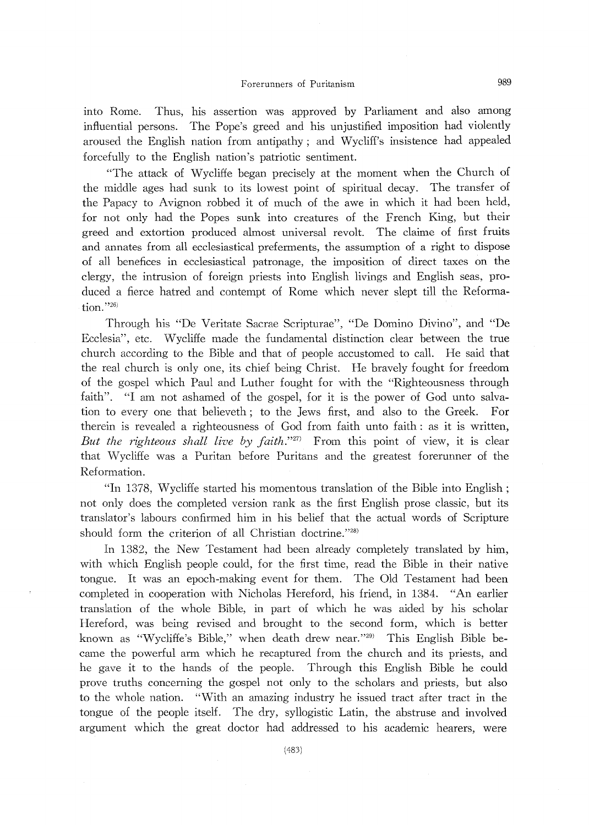into Rome. Thus, his assertion was approved by Parliament and also among influential persons. The Pope's greed and his unjustified imposition had violently aroused the English nation from antipathy; and Wycliff's insistence had appealed forcefully to the English nation's patriotic sentiment.

"The attack of Wycliffe began precisely at the moment when the Church of the middle ages had sunk to its lowest point of spiritual decay. The transfer of the Papacy to Avignon robbed it of much of the awe in which it had been held, for not only had the Popes sunk into creatures of the French King, but their greed and extortion produced almost universal revolt. The claime of first fruits and annates from all ecclesiastical preferments, the assumption of a right to dispose of all benefices in ecclesiastical patronage, the imposition of direct taxes on the clergy, the intrusion of foreign priests into English livings and English seas, produced a fierce hatred and contempt of Rome which never slept till the Reformation."26)

Through his "De Veritate Sacrae Scripturae", "De Domino Divino", and "De Ecclesia", etc. Wycliffe made the fundamental distinction clear between the true church according to the Bible and that of people accustomed to call. He said that the real church is only one, its chief being Christ. He bravely fought for freedom of the gospel which Paul and Luther fought for with the "Righteousness through faith". "1 am not ashamed of the gospel, for it is the power of God unto salvation to every one that believeth; to the Jews first, and also to the Greek. For therein is revealed a righteousness of God from faith unto faith: as it is written, But the righteous shall live by  $faith$ ."<sup>27</sup>) From this point of view, it is clear that Wycliffe was a Puritan before Puritans and the greatest forerunner of the Reformation.

"1n 1378, Wycliffe started his momentous translation of the Bible into English; not only does the completed version rank as the first English prose classic, but its translator's labours confirmed him in his belief that the actual words of Scripture should form the criterion of all Christian doctrine."28)

In 1382, the New Testament had been already completely translated by him, with which English people could, for the first time, read the Bible in their native tongue. It was an epoch-making event for them. The Old Testament had been completed in cooperation with Nicholas Hereford, his friend, in 1384. "An earlier translation of the whole Bible, in part of which he was aided by his scholar Hereford, was being revised and brought to the second form, which is better known as "Wycliffe's Bible," when death drew near."<sup>29)</sup> This English Bible became the powerful arm which he recaptured from the church and its priests, and he gave it to the hands of the people. Through this English Bible he could prove truths concerning the gospel not only to the scholars and priests, but also to the whole nation. "With an amazing industry he issued tract after tract in the tongue of the people itself. The dry, syllogistic Latin, the abstruse and involved argument which the great doctor had addressed to his academic hearers, were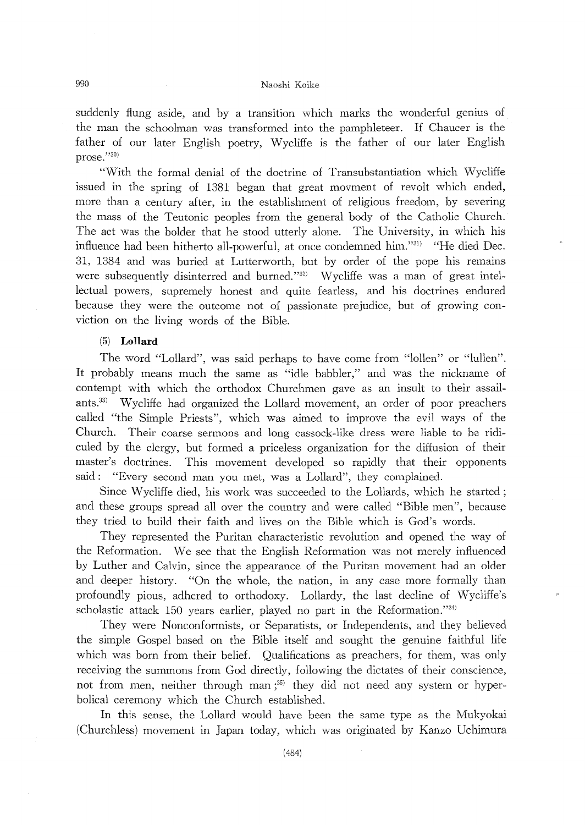## 990 Naoshi Koik

suddenly flung aside, and by a transition which marks the wonderful genius of the man the schoolman was transformed into the pamphleteer. If Chaucer is the father of our later English poetry, Wycliffe is the father of our later English prose."30)

"With the formal denial of the doctrine of Transubstantiation which Wycliffe issued in the spring of 1381 began that great movment of revolt which ended, more than a century after, in the establishment of religious freedom, by severing the mass of the Teutonic peoples from the general body of the Catholic Church. The act was the bolder that he stood utterly alone. The University, in which his influence had been hitherto all-powerful, at once condemned him."31) "He died Dec. 31, 1384 and was buried at Lutterworth, but by order of the pope his remains were subsequently disinterred and burned."<sup>32)</sup> Wycliffe was a man of great intellectual powers, supremely honest and quite fearless, and his doctrines endured because they were the outcome not of passionate prejudice, but of growing conviction on the living words of the Bible.

#### (5) Lollard

The word "Lollard", was said perhaps to have come from "lollen" or "lullen". It probably means much the same as "idle babbler," and was the nickname of contempt with which the orthodox Churchmen gave as an insult to their assailants.<sup>33)</sup> Wycliffe had organized the Lollard movement, an order of poor preachers called "the Simple Priests", which was aimed to improve the evil ways of the Church. Their coarse sermons and long cassock-like dress were liable to be ridiculed by the clergy, but formed a priceless organization for the diffusion of their master's doctrines. This movement developed so rapidly that their opponents said: "Every second man you met, was a Lollard", they complained.

Since Wycliffe died, his work was succeeded to the Lollards, which he started; and these groups spread all over the country and were called "Bible men", because they tried to build their faith and lives on the Bible which is God's words.

They represented the Puritan characteristic revolution and opened the way of the Reformation. We see that the English Reformation was not merely influenced by Luther and Calvin, since the appearance of the Puritan movement had an older and deeper history. "On the whole, the nation, in any case more formally than profoundly pious, adhered to orthodoxy. Lollardy, the last decline of Wycliffe's scholastic attack 150 years earlier, played no part in the Reformation." $34$ )

They were Nonconformists, or Separatists, or Independents, and they believed the simple Gospel based on the Bible itself and sought the genuine faithful life which was born from their belief. Qualifications as preachers, for them, was only receiving the summons from God directly, following the dictates of their conscience, not from men, neither through man  $;^{35}$  they did not need any system or hyperbolical ceremony which the Church established.

In this sense, the Lollard would have been the same type as the Mukyokai (Churchless) movement in Japan today, which was originated by Kanzo Uchimura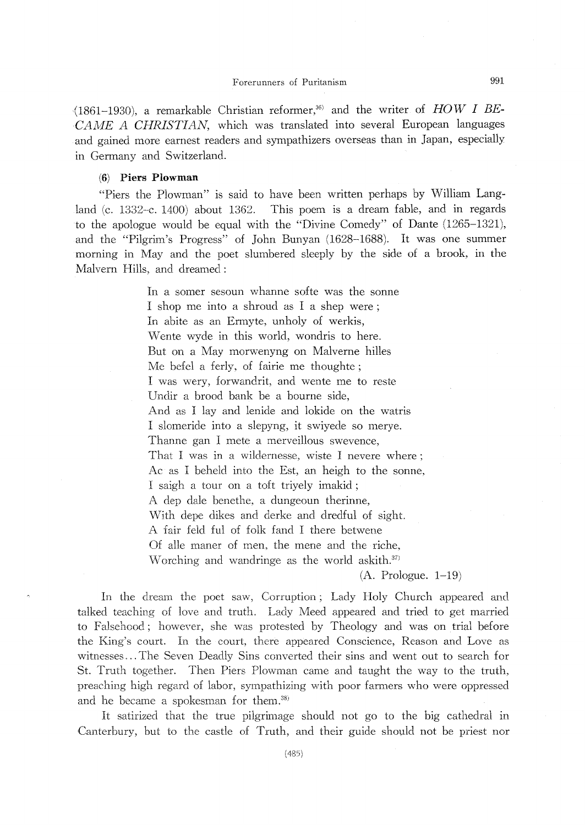(1861-1930), a remarkable Christian reformer,<sup>36)</sup> and the writer of HOW I BE-CAME A CHRISTIAN, which was translated into several European languages and gained more earnest readers and sympathizers overseas than in Japan, especially in Germany and Switzerland.

#### (6) Piers Plowman

"Piers the Plowman" is said to have been written perhaps by William Lang land (c. 1332-c. 1400) about 1362. This poem is a dream fable, and in regards to the apologue would be equal with the "Divine Comedy" of Dante (1265-1321), and the "Pilgrim's Progress" of John Bunyan (1628-1688). It was one summer morning in May and the poet slumbered sleeply by the side of a brook, in the Malvern Hills, and dreamed:

> In a somer sesoun whanne softe was the sonne I shop me into a shroud as I a shep were; In abite as an Ermyte, unholy of werkis, Wente wyde in this world, wondris to here. But on a May morwenyng on Malverne hilles Me befel a ferly, of fairie me thoughte; I was wery, forwandrit, and wente me to reste Undir a brood bank be a bourne side, And as I lay and lenide and lokide on the watris I slomeride into a slepyng, it swiyede so merye. Thanne gan I mete a merveillous swevence, That I was in a wildernesse, wiste I nevere where; Ac as I beheld into the Est, an heigh to the sonne, 1 saigh a tour on a toft triyely imakid; A dep dale benethe, a dungeoun therinne, With depe dikes and derke and dredful of sight. A Iair feld ful of folk fand 1 there betwene Of alle maner of men, the mene and the riche, Worching and wandringe as the world askith. $37$

 $(A. Prologue. 1-19)$ 

In the dream the poet saw, Corruption; Lady Holy Church appeared and talked teaching of love and truth. Lady Meed appeared and tried to get married to Falsehood; however, she was protested by Theology and was on trial before the King's court. In the court, there appeared Conscience, Reason and Love as witnesses...The Seven Deadly Sins converted their sins and went out to search for St. Truth together. Then Piers Plowman came and taught the way to the truth preaching high regard of labor, sympathizing with poor farmers who were oppressed and he became a spokesman for them.<sup>38)</sup>

It satirized that the true pilgrimage should not go to the big cathedral in Canterbury, but to the castle of Truth, and their guide should not be priest nor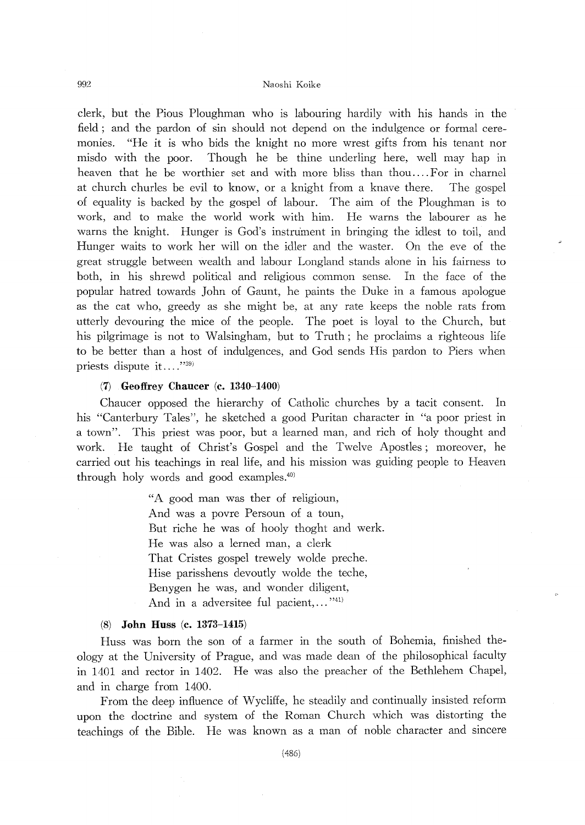clerk, but the Pious Ploughman who is labouring hardily with his hands in the field; and the pardon of sin should not depend on the indulgence or formal ceremonies. "He it is who bids the knight no more wrest gifts from his tenant nor misdo with the poor. Though he be thine underling here, well may hap in heaven that he be worthier set and with more bliss than thou.... For in charnel at church churles be evil to know, or a knight from a knave there. The gospel of equality is backed by the gospel of labour. The aim of the Ploughman is to work, and to make the world work with him. He warns the labourer as he warns the knight. Hunger is God's instrument in bringing the idlest to toil, and Hunger waits to work her will on the idler and the waster. On the eve of the great struggle between wealth and labour Longland stands alone in his fairness to both, in his shrewd political and religious common sense. In the face of the popular hatred towards John of Gaunt, he paints the Duke in a famous apologue as the cat who, greedy as she might be, at any rate keeps the noble rats from utterly devouring the mice of the people. The poet is loyal to the Church, but his pilgrimage is not to Walsingham, but to Truth; he proclaims a righteous life to be better than a host of indulgences, and God sends His pardon to Piers when priests dispute it...."39)

## (7) GeofreyChaucer (c. 1340-1400)

Chaucer opposed the hierarchy of Catholic churches by a tacit consent. In his "Canterbury Tales", he sketched a good Puritan character in "a poor priest in a town". This priest was poor, but a learned man, and rich of holy thought and work. He taught of Christ's Gospel and the Twelve Apostles; moreover, he carried out his teachings in real life, and his mission was guiding people to Heaven through holy words and good examples.40)

> "A good man was ther of religioun, And was a povre Persoun of a toun But riche he was of hooly thoght and werk. He was also a lerned man, a clerk That Cristes gospel trewely wolde preche. Hise parisshens devoutly wolde the teche, Benygen he was, and wonder diligent, And in a adversitee ful pacient,..."<sup>41)</sup>

#### (8) John Huss (c. 1373-1415)

Huss was bom the son of a farmer in the south of Bohemia, finished theology at the University of Prague, and was made dean of the philosophical faculty in 1401 and rector in 1402. He was also the preacher of the Bethlehem Chapel, and in charge from 1400.

From the deep influence of Wycliffe, he steadily and continually insisted reform upon the doctrine and system of the Roman Church which was distorting the teachings of the Bible. He was known as a man of noble character and sincere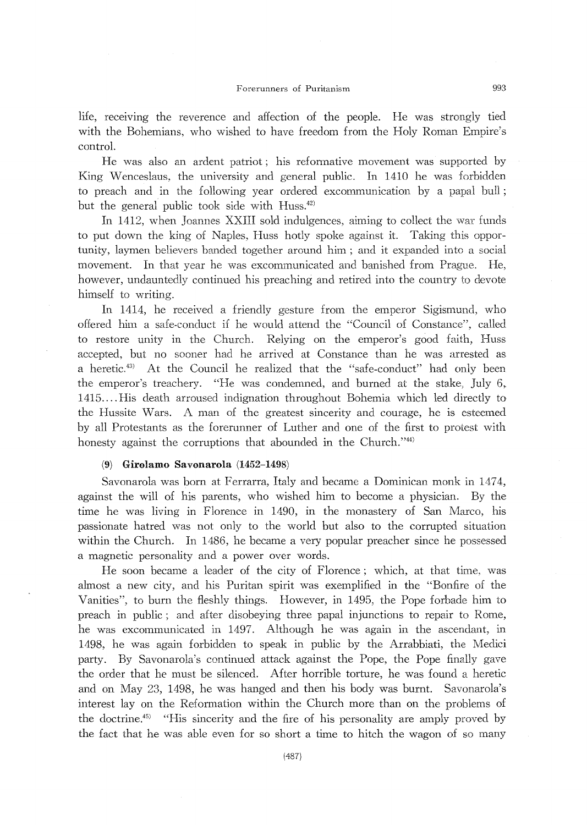life, receiving the reverence and affection of the people. He was strongly tied with the Bohemians, who wished to have freedom from the Holy Roman Empire's control.

He was also an ardent patriot; his reformative movement was supported by King Wenceslaus, the university and general public. In 1410 he was forbidden to preach and in the following year ordered excommunication by a papal buil; but the general public took side with Huss.<sup>42)</sup>

In 1412, when Joannes XXIII sold indulgences, aiming to collect the war funds to put down the king of Naples, Huss hotly spoke against it. Taking this opportunity, laymen believers banded together around him; and it expanded into a social movement. In that year he was excommunicated and banished from Prague. He, however, undauntedly continued his preaching and retired into the country to devote himself to writing.

In 1414, he received a friendly gesture from the emperor Sigismund, who offered him a safe-conduct if he would attend the "Council of Constance", called to restore unity in the Church. Relying on the emperor's good faith, Huss accepted, but no sooner had he arrived at Constance than he was arrested as a heretic.43) At the Council he realized that the "safe-conduct" had only been the emperor's treachery. "He was condemned, and burned at the stake, July 6, 1415.... His death arroused indignation throughout Bohemia which led directly to the Hussite Wars. A man of the greatest sincerity and courage, he is esteemed by all Protestants as the forerunner of Luther and one of the first to protest with honesty against the corruptions that abounded in the Church."44)

## (9) Girolamo Savonarola (1452-1498)

Savonarola was born at Ferrarra, ltaly and became a Dominican monk in 1474, against the will of his parents, who wished him to become a physician. By the time he was living in Florence in 1490, in the monasterγof San Marco, his passionate hatred was not only to the world but also to the corrupted situation within the Church. In 1486, he became a very popular preacher since he possessed a magnetic personality and a power over words.

He soon became a leader of the city of Florence; which, at that time, was almost a new city, and his Puritan spirit was exemplified in the "Bonfire of the Vanities", to burn the fleshly things. However, in 1495, the Pope forbade him to preach in public; and after disobeying three papal injunctions to repair to Rome, he was excommunicated in 1497. Although he was again in the ascendant, in 1498 hewas again forbidden to speak in public by the Arrabbiati, the Medici party. By Savonarola's continued attack against the Pope, the Pope finally gave the order that he must be silenced. After horrible torture, he was found a heretic and on May 23, 1498, he was hanged and then his body was burnt. Savonarola's interest lay on the Reformation within the Church more than on the problems of the doctrine. $45$  "His sincerity and the fire of his personality are amply proved by the fact that he was able even for so short a time to hitch the wagon of so many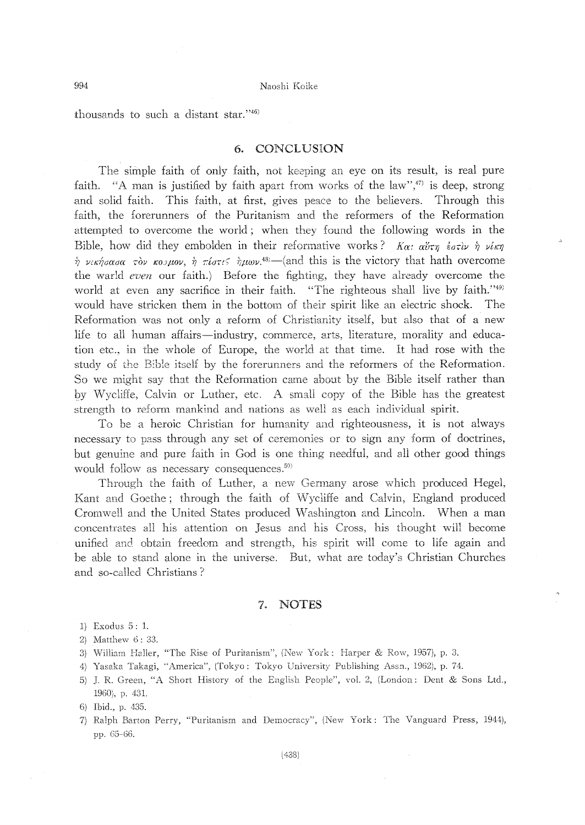thousands to such a distant star."46)

#### 6. CONCLUSION

The simple faith of only faith, not keeping an eye on its result, is real pure faith. "A man is justified by faith apart from works of the law",<sup>47</sup> is deep, strong and solid faith. This faith, at first, gives peace to the believers. Through this faith, the forerunners of the Puritanism and the reformers of the Reformation attempted to overcome the world; when they found the following words in the Bible, how did they embolden in their reformative works?  $K\alpha$ :  $\alpha\tilde{\nu}\tau\eta \epsilon\tilde{\sigma}\tau\tilde{\nu}\nu\tilde{\eta}\nu\tilde{\nu}\kappa\eta$  $\hat{\gamma}$  νικήσασα τον κουμον,  $\hat{\gamma}$  πίστι<  $\hat{\gamma}$ μων.<sup>43</sup> – (and this is the victory that hath overcome the warld even our faith.) Before the fighting, they have already overcome the world at even any sacrifice in their faith. "The righteous shall live by faith."<sup>49)</sup> would have stricken them in the bottom of their spirit like an electric shock. - The Reformation was not only a reform of Christianity itself, but also that of a new life to all human affairs-industry, commerce, arts, literature, morality and education etc., in the whole of Europe, the world at that time. It had rose with the study of the Bible itself by the forerunners and the reformers of the Reformation. So we might say that the Reformation came about by the Bible itself rather than by Wycliffe, Calvin or Luther, etc. A small copy of the Bible has the greatest strength to reform mankind and nations as well as each individual spirit.

To be a heroic Christian for humanity and righteousness, it is not always necessary to pass through any set of ceremonies or to sign any form of doctrines, but genuine and pure faith in God is one thing needful, and all other good things would follow as necessary consequences.<sup>50</sup>

Through the faith of Luther, a new Germany arose which produced Hegel, Kant and Goethe; through the faith of Wycliffe and Calvin, England produced Cromwell and the United States produced Washington and Lincoln. When a man concentrates all his attention on Jesus and his Cross, his thought will become unified and obtain freedom and strength, his spirit will come to life again and be able to stand alone in the universe. But, what are today's Christian Churches and so-called Christians?

#### 7. NOTES

- 1) Exodus 5: 1.
- 2) Matthew 6: 33.
- 3) William Haller, "The Rise of Puritanism", (New York: Harper & Row, 1957), p. 3.
- 4) Yasaka Takagi, "America", (Tokyo: Tokyo University Publishing Assn., 1962), p. 74.
- 5) J. R. Green, "A Short History of the English People", vol. 2, (London: Dent & Sons Ltd., 1960), p. 431.

7) Ralph Barton Perry, "Puritanism and Democracy", (New York: The Vanguard Press, 1944), pp. 65-66.

<sup>6)</sup> Ibid., p. 435.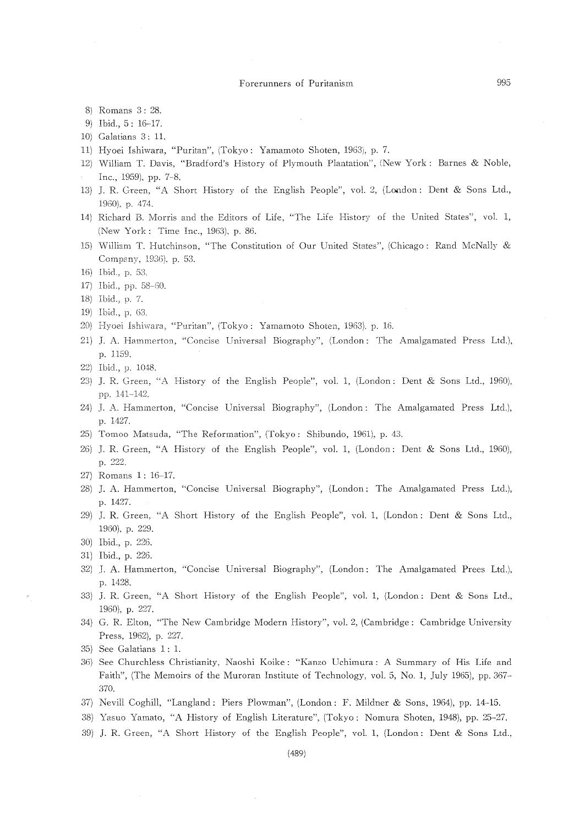- 8) Romans 3:28.
- 9) Ibid., 5: 16-17.
- 10) Galatians 3: 11.
- 11) Hyoei Ishiwara, "Puritan", (Tokyo: Yamamoto Shoten, 1963), p. 7.
- 12) William T. Davis, "Bradford's History of Plymouth Plantation", (New York: Barnes & Noble, Inc., 1959), pp. 7-8.
- 13) J. R. Green, "A Short History of the English People", vol. 2, (London: Dent & Sons Ltd., 1960), p. 474.
- 14) Richard B. Morris and the Editors of Life, "The Life History of the United States", vol. 1, (New York: Time Inc., 1963), p. 86.
- 15) William T. Hutchinson, "The Constitution of Our United States", (Chicago: Rand McNally & Company, 1936), p. 53.
- 16) Ibid., p. 53.
- 17) Ibid., pp. 58-60.
- 18) Ibid., p. 7.
- 19) Ibid., p. 63.
- 20) Hyoei Ishiwara, "Puritan", (Tokyo: Yamamoto Shoten, 1963), p. 16.
- 21) J. A. Hammerton, "Concise Universal Biography", (London: The Amalgamated Press Ltd.), p. 1159.
- 22) Ibid., p. 1048.
- 23) J. R. Green, "A History of the English People", vol. 1, (London: Dent & Sons Ltd., 1960), pp. 141-142.
- 24) J. A. Hammerton, "Concise Universal Biography", (London: The Amalgamated Press Ltd.), p. 1427.
- 25) Tomoo Matsuda, "The Reformation", (Tokyo: Shibundo, 1961), p. 43.
- 26) J. R. Green, "A History of the English People", vol. 1, (London: Dent & Sons Ltd., 1960), p. 222.
- 27) Romans 1: 16-17.
- 28) J. A. Hammerton, "Concise Universal Biography", (London: The Amalgamated Press Ltd.), p. 1427.
- 29) J. R. Green, "A Short History of the English People", vol. 1, (London: Dent & Sons Ltd., 1960), p. 229.
- 30) Ibid., p. 226.
- 31) Ibid., p. 226.
- 32) J. A. Hammerton, "Concise Universal Biography", (London: The Amalgamated Prees Ltd.), p. 1428.
- 33) J. R. Green, "A Short History of the English People", vol. 1, (London: Dent & Sons Ltd., 1960), p. 227.
- 34) G. R. Elton, "The New Cambridge Modern History", vol. 2, (Cambridge: Cambridge University Press, 1962), p. 227.
- 35) See Galatians 1: 1.
- 36) See Churchless Christianity, Naoshi Koike: "Kanzo Uchimura: A Summary of His Life and Faith", (The Memoirs of the Muroran Institute of Technology, vol. 5, No. 1, July 1965), pp. 367-370.
- 37) Nevill Coghill, "Langland: Piers Plowman", (London: F. Mildner & Sons, 1964), pp. 14-15.
- 38) Yasuo Yamato, "A History of English Literature", (Tokyo: Nomura Shoten, 1948), pp. 25-27.
- 39) J. R. Green, "A Short History of the English People", vol. 1, (London: Dent & Sons Ltd.,